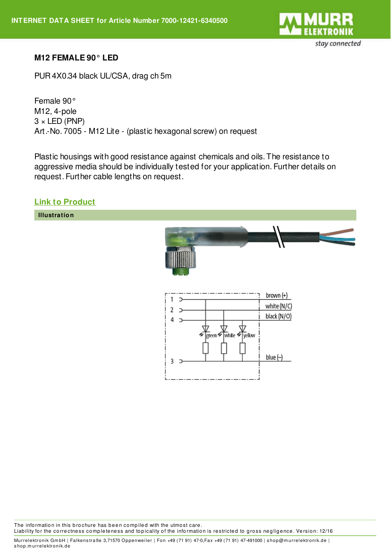

## **M12 FEMALE 90° LED**

PUR 4X0.34 black UL/CSA, drag ch 5m

Female 90° M12, 4-pole  $3 \times$  LED (PNP) Art.-No. 7005 - M12 Lite - (plastic hexagonal screw) on request

Plastic housings with good resistance against chemicals and oils. The resistance to aggressive media should be individually tested for your application. Further details on request. Further cable lengths on request.

## **Link to [Product](http://shop.murrelektronik.de/7000-12421-6340500?lang=1)**

**Illustration**



The information in this brochure has been compiled with the utmost care. Liability for the correctness completeness and topicality of the information is restricted to gross negligence. Version: 12/16

Murrelektronik GmbH | Falkenstraße 3,71570 Oppenweiler | Fon +49 (71 91) 47-0,Fax +49 (71 91) 47-491000 | shop@murrelektronik.de | s hop.m urrelektronik.de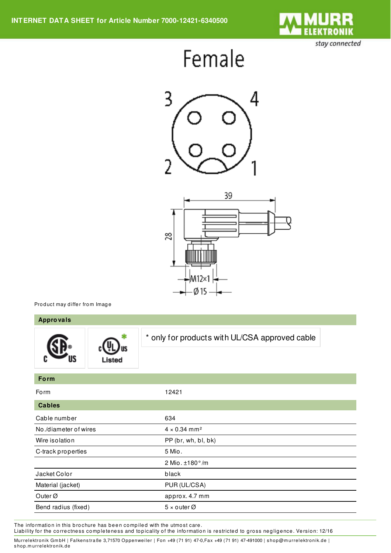

stay connected

## Female





Product may differ from Image

| <b>Approvals</b>      |        |                                                |
|-----------------------|--------|------------------------------------------------|
|                       | Listed | * only for products with UL/CSA approved cable |
| Form                  |        |                                                |
| Form                  |        | 12421                                          |
| <b>Cables</b>         |        |                                                |
| Cable number          |        | 634                                            |
| No./diameter of wires |        | $4 \times 0.34$ mm <sup>2</sup>                |
| Wire isolation        |        | PP (br, wh, bl, bk)                            |
| C-track properties    |        | 5 Mio.                                         |
|                       |        | 2 Mio. ±180°/m                                 |
| Jacket Color          |        | black                                          |
| Material (jacket)     |        | PUR (UL/CSA)                                   |
| Outer <sup>Ø</sup>    |        | approx. 4.7 mm                                 |
| Bend radius (fixed)   |        | $5 \times$ outer Ø                             |

The information in this brochure has been compiled with the utmost care.

Liability for the correctness completeness and topicality of the information is restricted to gross negligence. Version: 12/16

Murrelektronik GmbH | Falkenstraße 3,71570 Oppenweiler | Fon +49 (71 91) 47-0,Fax +49 (71 91) 47-491000 | shop@murrelektronik.de | s hop.m urrelektronik.de